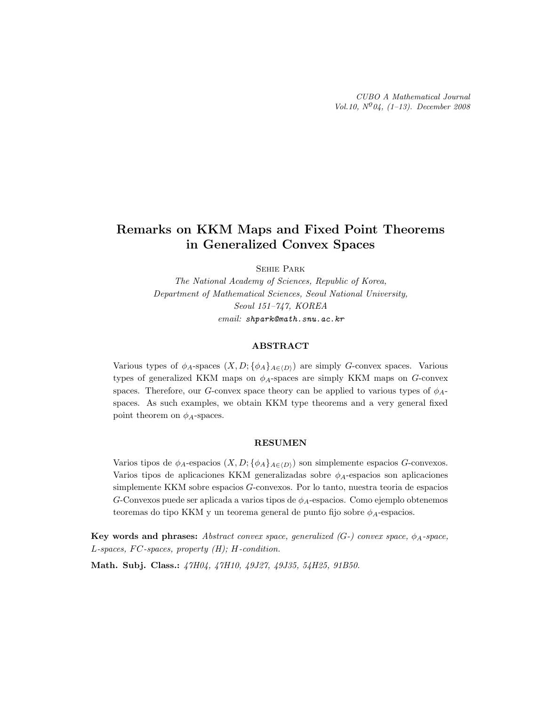# Remarks on KKM Maps and Fixed Point Theorems in Generalized Convex Spaces

Sehie Park

The National Academy of Sciences, Republic of Korea, Department of Mathematical Sciences, Seoul National University, Seoul 151–747, KOREA email: shpark@math.snu.ac.kr

#### ABSTRACT

Various types of  $\phi_A$ -spaces  $(X, D; {\phi_A}_{A\in\langle D \rangle})$  are simply G-convex spaces. Various types of generalized KKM maps on  $\phi_A$ -spaces are simply KKM maps on  $G$ -convex spaces. Therefore, our G-convex space theory can be applied to various types of  $\phi_{A}$ spaces. As such examples, we obtain KKM type theorems and a very general fixed point theorem on  $\phi_A$ -spaces.

### RESUMEN

Varios tipos de  $\phi_A$ -espacios  $(X, D; {\phi_A}_{A\in\langle D \rangle})$  son simplemente espacios G-convexos. Varios tipos de aplicaciones KKM generalizadas sobre  $\phi_A$ -espacios son aplicaciones simplemente KKM sobre espacios G-convexos. Por lo tanto, nuestra teoria de espacios  $G$ -Convexos puede ser aplicada a varios tipos de  $\phi_A$ -espacios. Como ejemplo obtenemos teoremas do tipo KKM y un teorema general de punto fijo sobre  $\phi_A$ -espacios.

Key words and phrases: Abstract convex space, generalized  $(G-)$  convex space,  $\phi_A$ -space, L-spaces, FC-spaces, property  $(H)$ ; H-condition.

Math. Subj. Class.: 47H04, 47H10, 49J27, 49J35, 54H25, 91B50.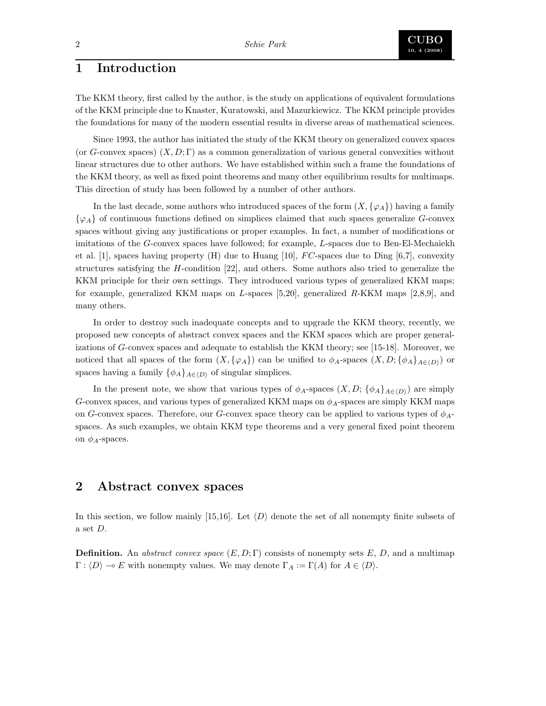# 1 Introduction

The KKM theory, first called by the author, is the study on applications of equivalent formulations of the KKM principle due to Knaster, Kuratowski, and Mazurkiewicz. The KKM principle provides the foundations for many of the modern essential results in diverse areas of mathematical sciences.

Since 1993, the author has initiated the study of the KKM theory on generalized convex spaces (or G-convex spaces)  $(X, D; \Gamma)$  as a common generalization of various general convexities without linear structures due to other authors. We have established within such a frame the foundations of the KKM theory, as well as fixed point theorems and many other equilibrium results for multimaps. This direction of study has been followed by a number of other authors.

In the last decade, some authors who introduced spaces of the form  $(X, \{\varphi_A\})$  having a family  $\{\varphi_A\}$  of continuous functions defined on simplices claimed that such spaces generalize G-convex spaces without giving any justifications or proper examples. In fact, a number of modifications or imitations of the G-convex spaces have followed; for example, L-spaces due to Ben-El-Mechaiekh et al. [1], spaces having property (H) due to Huang [10],  $FC$ -spaces due to Ding [6,7], convexity structures satisfying the H-condition [22], and others. Some authors also tried to generalize the KKM principle for their own settings. They introduced various types of generalized KKM maps; for example, generalized KKM maps on L-spaces [5,20], generalized R-KKM maps [2,8,9], and many others.

In order to destroy such inadequate concepts and to upgrade the KKM theory, recently, we proposed new concepts of abstract convex spaces and the KKM spaces which are proper generalizations of G-convex spaces and adequate to establish the KKM theory; see [15-18]. Moreover, we noticed that all spaces of the form  $(X, {\{\varphi_A\}})$  can be unified to  $\phi_A$ -spaces  $(X, D; {\{\phi_A\}}_{A\in (D)})$  or spaces having a family  $\{\phi_A\}_{A\in\langle D\rangle}$  of singular simplices.

In the present note, we show that various types of  $\phi_A$ -spaces  $(X, D; {\phi_A}_{A\in (D)})$  are simply G-convex spaces, and various types of generalized KKM maps on  $\phi_A$ -spaces are simply KKM maps on G-convex spaces. Therefore, our G-convex space theory can be applied to various types of  $\phi_{A}$ spaces. As such examples, we obtain KKM type theorems and a very general fixed point theorem on  $\phi_A$ -spaces.

## 2 Abstract convex spaces

In this section, we follow mainly [15,16]. Let  $\langle D \rangle$  denote the set of all nonempty finite subsets of a set D.

**Definition.** An abstract convex space  $(E, D; \Gamma)$  consists of nonempty sets E, D, and a multimap  $\Gamma : \langle D \rangle \to E$  with nonempty values. We may denote  $\Gamma_A := \Gamma(A)$  for  $A \in \langle D \rangle$ .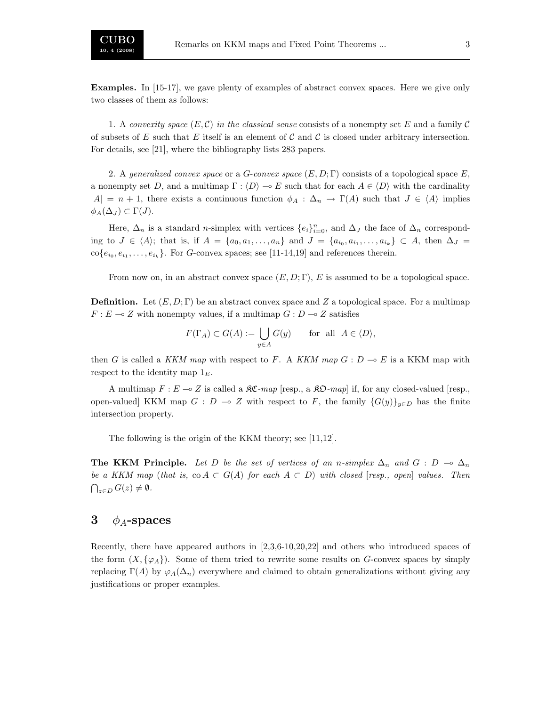Examples. In [15-17], we gave plenty of examples of abstract convex spaces. Here we give only two classes of them as follows:

1. A convexity space  $(E, \mathcal{C})$  in the classical sense consists of a nonempty set E and a family  $\mathcal{C}$ of subsets of E such that E itself is an element of C and C is closed under arbitrary intersection. For details, see [21], where the bibliography lists 283 papers.

2. A generalized convex space or a G-convex space  $(E, D; \Gamma)$  consists of a topological space E, a nonempty set D, and a multimap  $\Gamma : \langle D \rangle \to E$  such that for each  $A \in \langle D \rangle$  with the cardinality  $|A| = n + 1$ , there exists a continuous function  $\phi_A : \Delta_n \to \Gamma(A)$  such that  $J \in \langle A \rangle$  implies  $\phi_A(\Delta_J) \subset \Gamma(J)$ .

Here,  $\Delta_n$  is a standard *n*-simplex with vertices  $\{e_i\}_{i=0}^n$ , and  $\Delta_j$  the face of  $\Delta_n$  corresponding to  $J \in \langle A \rangle$ ; that is, if  $A = \{a_0, a_1, \ldots, a_n\}$  and  $J = \{a_{i_0}, a_{i_1}, \ldots, a_{i_k}\} \subset A$ , then  $\Delta_J =$  $\text{co}\{e_{i_0}, e_{i_1}, \ldots, e_{i_k}\}.$  For G-convex spaces; see [11-14,19] and references therein.

From now on, in an abstract convex space  $(E, D; \Gamma)$ , E is assumed to be a topological space.

**Definition.** Let  $(E, D; \Gamma)$  be an abstract convex space and Z a topological space. For a multimap  $F: E \multimap Z$  with nonempty values, if a multimap  $G: D \multimap Z$  satisfies

$$
F(\Gamma_A) \subset G(A) := \bigcup_{y \in A} G(y) \quad \text{for all } A \in \langle D \rangle,
$$

then G is called a KKM map with respect to F. A KKM map  $G: D \multimap E$  is a KKM map with respect to the identity map  $1<sub>E</sub>$ .

A multimap  $F: E \to Z$  is called a  $\mathfrak{K}C\text{-}map$  [resp., a  $\mathfrak{K}D\text{-}map$ ] if, for any closed-valued [resp., open-valued] KKM map  $G : D \to Z$  with respect to F, the family  $\{G(y)\}_{y \in D}$  has the finite intersection property.

The following is the origin of the KKM theory; see [11,12].

**The KKM Principle.** Let D be the set of vertices of an n-simplex  $\Delta_n$  and  $G : D \to \Delta_n$ be a KKM map (that is, co  $A \subset G(A)$  for each  $A \subset D$ ) with closed [resp., open] values. Then  $\bigcap_{z\in D} G(z)\neq\emptyset$ .

## 3  $\phi_A$ -spaces

Recently, there have appeared authors in [2,3,6-10,20,22] and others who introduced spaces of the form  $(X, \{\varphi_A\})$ . Some of them tried to rewrite some results on G-convex spaces by simply replacing  $\Gamma(A)$  by  $\varphi_A(\Delta_n)$  everywhere and claimed to obtain generalizations without giving any justifications or proper examples.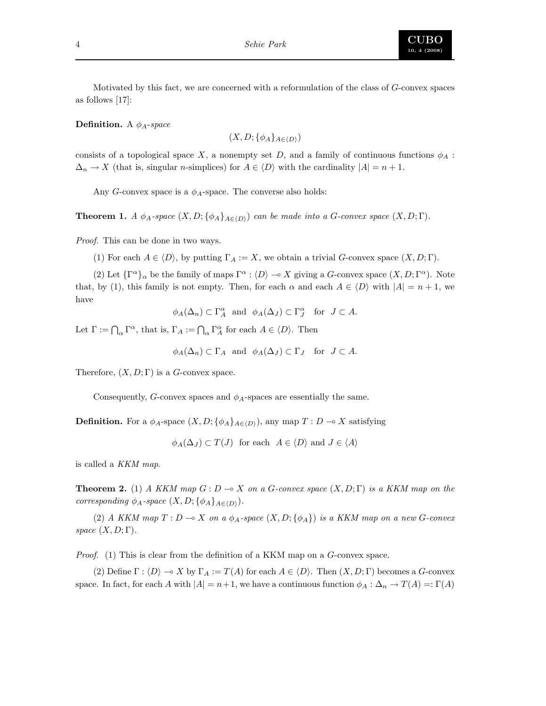

Motivated by this fact, we are concerned with a reformulation of the class of G-convex spaces as follows [17]:

**Definition.** A  $\phi_A$ -space

$$
(X, D; \{\phi_A\}_{A \in \langle D \rangle})
$$

consists of a topological space X, a nonempty set D, and a family of continuous functions  $\phi_A$ :  $\Delta_n \to X$  (that is, singular *n*-simplices) for  $A \in \langle D \rangle$  with the cardinality  $|A| = n + 1$ .

Any G-convex space is a  $\phi_A$ -space. The converse also holds:

**Theorem 1.** A  $\phi_A$ -space  $(X, D; {\phi_A}_{A \in \langle D \rangle})$  can be made into a G-convex space  $(X, D; \Gamma)$ .

Proof. This can be done in two ways.

(1) For each  $A \in \langle D \rangle$ , by putting  $\Gamma_A := X$ , we obtain a trivial G-convex space  $(X, D; \Gamma)$ .

(2) Let  ${\{\Gamma^\alpha\}}_\alpha$  be the family of maps  $\Gamma^\alpha : \langle D \rangle \to X$  giving a G-convex space  $(X, D; \Gamma^\alpha)$ . Note that, by (1), this family is not empty. Then, for each  $\alpha$  and each  $A \in \langle D \rangle$  with  $|A| = n + 1$ , we have

 $\phi_A(\Delta_n) \subset \Gamma_A^{\alpha}$  and  $\phi_A(\Delta_J) \subset \Gamma_J^{\alpha}$  for  $J \subset A$ .

Let  $\Gamma := \bigcap_{\alpha} \Gamma^{\alpha}$ , that is,  $\Gamma_A := \bigcap_{\alpha} \Gamma^{\alpha}_A$  for each  $A \in \langle D \rangle$ . Then

$$
\phi_A(\Delta_n) \subset \Gamma_A
$$
 and  $\phi_A(\Delta_J) \subset \Gamma_J$  for  $J \subset A$ .

Therefore,  $(X, D; \Gamma)$  is a G-convex space.

Consequently, G-convex spaces and  $\phi_A$ -spaces are essentially the same.

**Definition.** For a  $\phi_A$ -space  $(X, D; {\phi_A}_{A \in (D)})$ , any map  $T : D \to X$  satisfying

 $\phi_A(\Delta_J) \subset T(J)$  for each  $A \in \langle D \rangle$  and  $J \in \langle A \rangle$ 

is called a KKM map.

**Theorem 2.** (1) A KKM map  $G: D \to X$  on a G-convex space  $(X, D; \Gamma)$  is a KKM map on the corresponding  $\phi_A$ -space  $(X, D; {\phi_A}_{A \in \langle D \rangle}).$ 

(2) A KKM map  $T: D \multimap X$  on a  $\phi_A$ -space  $(X, D; {\phi_A})$  is a KKM map on a new G-convex space  $(X, D; \Gamma)$ .

Proof. (1) This is clear from the definition of a KKM map on a G-convex space.

(2) Define  $\Gamma : \langle D \rangle \to X$  by  $\Gamma_A := T(A)$  for each  $A \in \langle D \rangle$ . Then  $(X, D; \Gamma)$  becomes a G-convex space. In fact, for each A with  $|A| = n+1$ , we have a continuous function  $\phi_A : \Delta_n \to T(A) =: \Gamma(A)$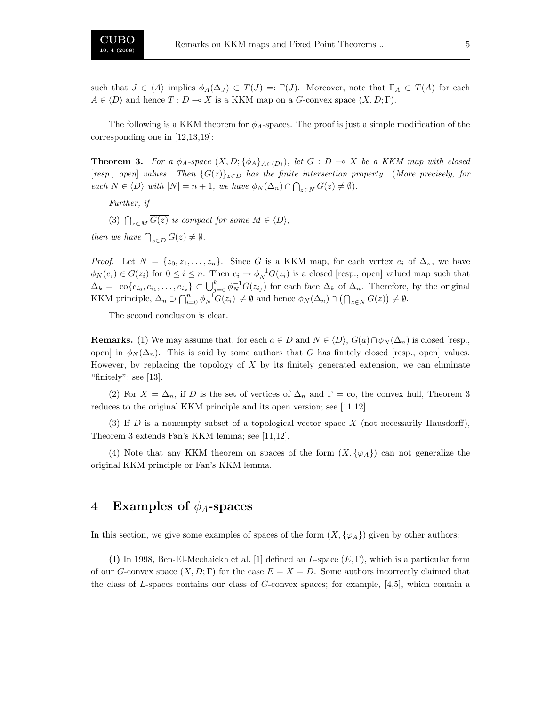such that  $J \in \langle A \rangle$  implies  $\phi_A(\Delta_J) \subset T(J) =: \Gamma(J)$ . Moreover, note that  $\Gamma_A \subset T(A)$  for each  $A \in \langle D \rangle$  and hence  $T : D \multimap X$  is a KKM map on a G-convex space  $(X, D; \Gamma)$ .

The following is a KKM theorem for  $\phi_A$ -spaces. The proof is just a simple modification of the corresponding one in [12,13,19]:

**Theorem 3.** For a  $\phi_A$ -space  $(X, D; {\phi_A}_{A \in (D)})$ , let  $G : D \to X$  be a KKM map with closed [resp., open] values. Then  $\{G(z)\}_{z\in D}$  has the finite intersection property. (More precisely, for each  $N \in \langle D \rangle$  with  $|N| = n + 1$ , we have  $\phi_N(\Delta_n) \cap \bigcap_{z \in N} G(z) \neq \emptyset$ .

Further, if

(3)  $\bigcap_{z \in M} G(z)$  is compact for some  $M \in \langle D \rangle$ ,

then we have  $\bigcap_{z\in D} G(z)\neq \emptyset$ .

*Proof.* Let  $N = \{z_0, z_1, \ldots, z_n\}$ . Since G is a KKM map, for each vertex  $e_i$  of  $\Delta_n$ , we have  $\phi_N(e_i) \in G(z_i)$  for  $0 \leq i \leq n$ . Then  $e_i \mapsto \phi_N^{-1}G(z_i)$  is a closed [resp., open] valued map such that  $\Delta_k = \text{co}\{e_{i_0}, e_{i_1}, \ldots, e_{i_k}\} \subset \bigcup_{j=0}^k \phi_N^{-1} G(z_{i_j})$  for each face  $\Delta_k$  of  $\Delta_n$ . Therefore, by the original KKM principle,  $\Delta_n \supset \bigcap_{i=0}^n \phi_N^{-1} G(z_i) \neq \emptyset$  and hence  $\phi_N(\Delta_n) \cap (\bigcap_{z \in N} G(z)) \neq \emptyset$ .

The second conclusion is clear.

**Remarks.** (1) We may assume that, for each  $a \in D$  and  $N \in \langle D \rangle$ ,  $G(a) \cap \phi_N(\Delta_n)$  is closed [resp., open] in  $\phi_N(\Delta_n)$ . This is said by some authors that G has finitely closed [resp., open] values. However, by replacing the topology of  $X$  by its finitely generated extension, we can eliminate "finitely"; see [13].

(2) For  $X = \Delta_n$ , if D is the set of vertices of  $\Delta_n$  and  $\Gamma = \infty$ , the convex hull, Theorem 3 reduces to the original KKM principle and its open version; see [11,12].

(3) If D is a nonempty subset of a topological vector space X (not necessarily Hausdorff), Theorem 3 extends Fan's KKM lemma; see [11,12].

(4) Note that any KKM theorem on spaces of the form  $(X, \{\varphi_A\})$  can not generalize the original KKM principle or Fan's KKM lemma.

## 4 Examples of  $\phi_A$ -spaces

In this section, we give some examples of spaces of the form  $(X, \{\varphi_A\})$  given by other authors:

(I) In 1998, Ben-El-Mechaiekh et al. [1] defined an L-space  $(E, \Gamma)$ , which is a particular form of our G-convex space  $(X, D; \Gamma)$  for the case  $E = X = D$ . Some authors incorrectly claimed that the class of L-spaces contains our class of G-convex spaces; for example,  $[4,5]$ , which contain a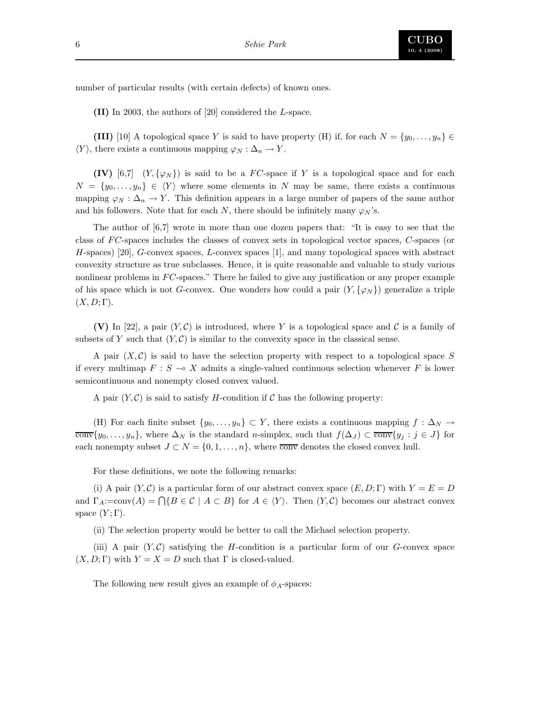

number of particular results (with certain defects) of known ones.

(II) In 2003, the authors of [20] considered the L-space.

(III) [10] A topological space Y is said to have property (H) if, for each  $N = \{y_0, \ldots, y_n\} \in$  $\langle Y \rangle$ , there exists a continuous mapping  $\varphi_N : \Delta_n \to Y$ .

**(IV)** [6,7] (Y, { $\varphi_N$ }) is said to be a FC-space if Y is a topological space and for each  $N = \{y_0, \ldots, y_n\} \in \langle Y \rangle$  where some elements in N may be same, there exists a continuous mapping  $\varphi_N : \Delta_n \to Y$ . This definition appears in a large number of papers of the same author and his followers. Note that for each N, there should be infinitely many  $\varphi_N$ 's.

The author of [6,7] wrote in more than one dozen papers that: "It is easy to see that the class of FC-spaces includes the classes of convex sets in topological vector spaces, C-spaces (or H-spaces) [20], G-convex spaces, L-convex spaces [1], and many topological spaces with abstract convexity structure as true subclasses. Hence, it is quite reasonable and valuable to study various nonlinear problems in  $FC$ -spaces." There he failed to give any justification or any proper example of his space which is not G-convex. One wonders how could a pair  $(Y, \{\varphi_N\})$  generalize a triple  $(X, D; \Gamma)$ .

(V) In [22], a pair  $(Y, \mathcal{C})$  is introduced, where Y is a topological space and C is a family of subsets of Y such that  $(Y, \mathcal{C})$  is similar to the convexity space in the classical sense.

A pair  $(X, \mathcal{C})$  is said to have the selection property with respect to a topological space S if every multimap  $F : S \to X$  admits a single-valued continuous selection whenever F is lower semicontinuous and nonempty closed convex valued.

A pair  $(Y, \mathcal{C})$  is said to satisfy H-condition if  $\mathcal C$  has the following property:

(H) For each finite subset  $\{y_0, \ldots, y_n\} \subset Y$ , there exists a continuous mapping  $f : \Delta_N \to Y$  $\overline{\text{conv}}\{y_0,\ldots,y_n\}$ , where  $\Delta_N$  is the standard n-simplex, such that  $f(\Delta_J) \subset \overline{\text{conv}}\{y_j : j \in J\}$  for each nonempty subset  $J \subset N = \{0, 1, \ldots, n\}$ , where  $\overline{conv}$  denotes the closed convex hull.

For these definitions, we note the following remarks:

(i) A pair  $(Y, \mathcal{C})$  is a particular form of our abstract convex space  $(E, D; \Gamma)$  with  $Y = E = D$ and  $\Gamma_A$ :=conv(A) =  $\bigcap \{B \in \mathcal{C} \mid A \subset B\}$  for  $A \in \langle Y \rangle$ . Then  $(Y, \mathcal{C})$  becomes our abstract convex space  $(Y; \Gamma)$ .

(ii) The selection property would be better to call the Michael selection property.

(iii) A pair  $(Y, \mathcal{C})$  satisfying the H-condition is a particular form of our G-convex space  $(X, D; \Gamma)$  with  $Y = X = D$  such that  $\Gamma$  is closed-valued.

The following new result gives an example of  $\phi_A$ -spaces: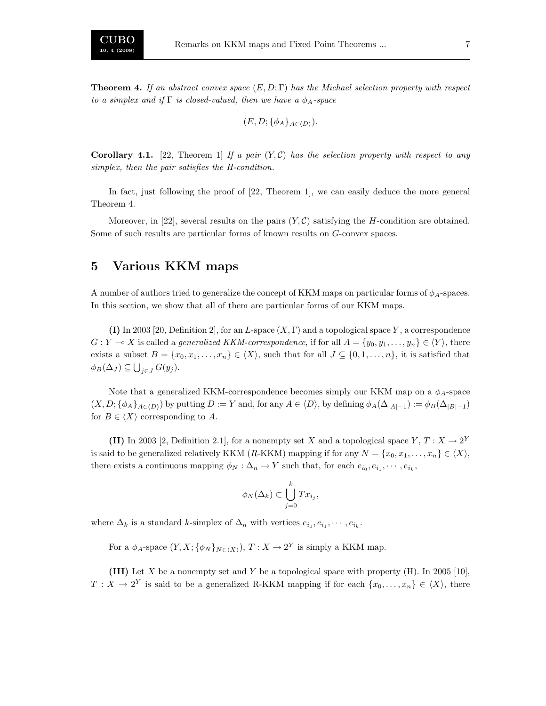**Theorem 4.** If an abstract convex space  $(E, D; \Gamma)$  has the Michael selection property with respect to a simplex and if  $\Gamma$  is closed-valued, then we have a  $\phi_A$ -space

$$
(E, D; \{\phi_A\}_{A \in \langle D \rangle}).
$$

**Corollary 4.1.** [22, Theorem 1] If a pair  $(Y, \mathcal{C})$  has the selection property with respect to any simplex, then the pair satisfies the H-condition.

In fact, just following the proof of [22, Theorem 1], we can easily deduce the more general Theorem 4.

Moreover, in [22], several results on the pairs  $(Y, \mathcal{C})$  satisfying the H-condition are obtained. Some of such results are particular forms of known results on G-convex spaces.

## 5 Various KKM maps

A number of authors tried to generalize the concept of KKM maps on particular forms of  $\phi_A$ -spaces. In this section, we show that all of them are particular forms of our KKM maps.

(I) In 2003 [20, Definition 2], for an L-space  $(X, \Gamma)$  and a topological space Y, a correspondence  $G: Y \to X$  is called a *generalized KKM-correspondence*, if for all  $A = \{y_0, y_1, \ldots, y_n\} \in \langle Y \rangle$ , there exists a subset  $B = \{x_0, x_1, \ldots, x_n\} \in \langle X \rangle$ , such that for all  $J \subseteq \{0, 1, \ldots, n\}$ , it is satisfied that  $\phi_B(\Delta_J) \subseteq \bigcup_{j \in J} G(y_j).$ 

Note that a generalized KKM-correspondence becomes simply our KKM map on a  $\phi_A$ -space  $(X, D; {\phi_A}_{A \in (D)})$  by putting  $D := Y$  and, for any  $A \in \langle D \rangle$ , by defining  $\phi_A(\Delta_{|A|-1}) := \phi_B(\Delta_{|B|-1})$ for  $B \in \langle X \rangle$  corresponding to A.

(II) In 2003 [2, Definition 2.1], for a nonempty set X and a topological space  $Y, T: X \to 2^Y$ is said to be generalized relatively KKM (R-KKM) mapping if for any  $N = \{x_0, x_1, \ldots, x_n\} \in \langle X \rangle$ , there exists a continuous mapping  $\phi_N : \Delta_n \to Y$  such that, for each  $e_{i_0}, e_{i_1}, \dots, e_{i_k}$ ,

$$
\phi_N(\Delta_k) \subset \bigcup_{j=0}^k Tx_{i_j},
$$

where  $\Delta_k$  is a standard k-simplex of  $\Delta_n$  with vertices  $e_{i_0}, e_{i_1}, \cdots, e_{i_k}$ .

For a  $\phi_A$ -space  $(Y, X; {\phi_N}_{N \in \langle X \rangle}), T : X \to 2^Y$  is simply a KKM map.

(III) Let X be a nonempty set and Y be a topological space with property (H). In 2005 [10],  $T: X \to 2^Y$  is said to be a generalized R-KKM mapping if for each  $\{x_0, \ldots, x_n\} \in \langle X \rangle$ , there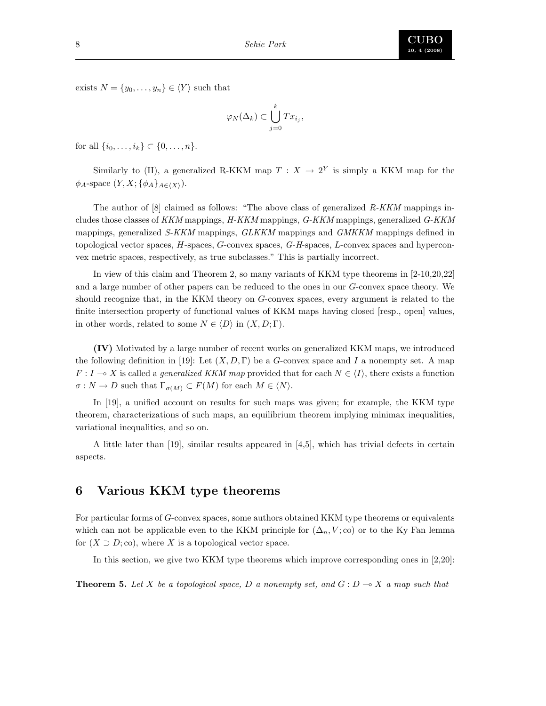

exists  $N = \{y_0, \ldots, y_n\} \in \langle Y \rangle$  such that

$$
\varphi_N(\Delta_k) \subset \bigcup_{j=0}^k Tx_{i_j},
$$

for all  $\{i_0, \ldots, i_k\} \subset \{0, \ldots, n\}.$ 

Similarly to (II), a generalized R-KKM map  $T : X \to 2^Y$  is simply a KKM map for the  $\phi_A$ -space  $(Y, X; {\phi_A}_{A \in \langle X \rangle}).$ 

The author of  $[8]$  claimed as follows: "The above class of generalized  $R-KKM$  mappings includes those classes of KKM mappings, H-KKM mappings, G-KKM mappings, generalized G-KKM mappings, generalized S-KKM mappings, GLKKM mappings and GMKKM mappings defined in topological vector spaces, H-spaces, G-convex spaces, G-H-spaces, L-convex spaces and hyperconvex metric spaces, respectively, as true subclasses." This is partially incorrect.

In view of this claim and Theorem 2, so many variants of KKM type theorems in [2-10,20,22] and a large number of other papers can be reduced to the ones in our G-convex space theory. We should recognize that, in the KKM theory on G-convex spaces, every argument is related to the finite intersection property of functional values of KKM maps having closed [resp., open] values, in other words, related to some  $N \in \langle D \rangle$  in  $(X, D; \Gamma)$ .

(IV) Motivated by a large number of recent works on generalized KKM maps, we introduced the following definition in [19]: Let  $(X, D, \Gamma)$  be a G-convex space and I a nonempty set. A map  $F: I \to X$  is called a *generalized KKM map* provided that for each  $N \in \langle I \rangle$ , there exists a function  $\sigma: N \to D$  such that  $\Gamma_{\sigma(M)} \subset F(M)$  for each  $M \in \langle N \rangle$ .

In [19], a unified account on results for such maps was given; for example, the KKM type theorem, characterizations of such maps, an equilibrium theorem implying minimax inequalities, variational inequalities, and so on.

A little later than [19], similar results appeared in [4,5], which has trivial defects in certain aspects.

## 6 Various KKM type theorems

For particular forms of G-convex spaces, some authors obtained KKM type theorems or equivalents which can not be applicable even to the KKM principle for  $(\Delta_n, V; \text{co})$  or to the Ky Fan lemma for  $(X \supset D; \text{co})$ , where X is a topological vector space.

In this section, we give two KKM type theorems which improve corresponding ones in [2,20]:

**Theorem 5.** Let X be a topological space, D a nonempty set, and  $G: D \to X$  a map such that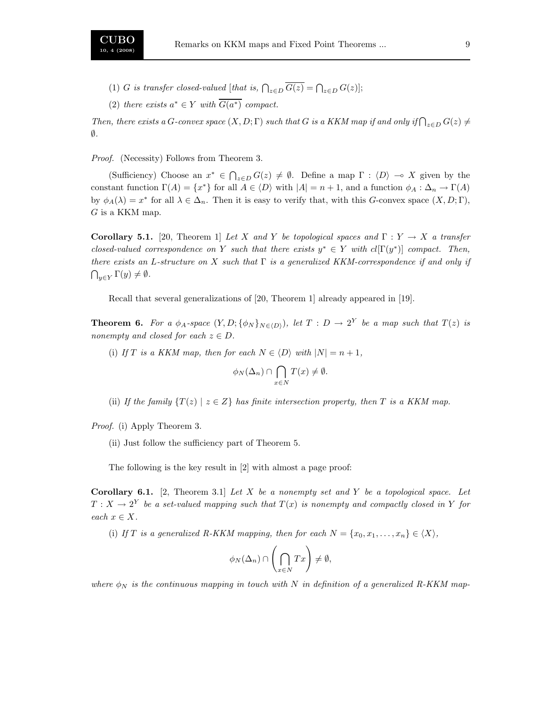- (1) G is transfer closed-valued [that is,  $\bigcap_{z \in D} G(z) = \bigcap_{z \in D} G(z)$ ];
- (2) there exists  $a^* \in Y$  with  $\overline{G(a^*)}$  compact.

Then, there exists a G-convex space  $(X, D; \Gamma)$  such that G is a KKM map if and only if  $\bigcap_{z \in D} G(z) \neq$ ∅.

Proof. (Necessity) Follows from Theorem 3.

(Sufficiency) Choose an  $x^* \in \bigcap_{z \in D} G(z) \neq \emptyset$ . Define a map  $\Gamma : \langle D \rangle \to X$  given by the constant function  $\Gamma(A) = \{x^*\}$  for all  $A \in \langle D \rangle$  with  $|A| = n + 1$ , and a function  $\phi_A : \Delta_n \to \Gamma(A)$ by  $\phi_A(\lambda) = x^*$  for all  $\lambda \in \Delta_n$ . Then it is easy to verify that, with this G-convex space  $(X, D; \Gamma)$ ,  $G$  is a KKM map.

**Corollary 5.1.** [20, Theorem 1] Let X and Y be topological spaces and  $\Gamma: Y \to X$  a transfer closed-valued correspondence on Y such that there exists  $y^* \in Y$  with  $cl[\Gamma(y^*)]$  compact. Then, there exists an L-structure on X such that  $\Gamma$  is a generalized KKM-correspondence if and only if  $\bigcap_{y\in Y} \Gamma(y)\neq \emptyset.$ 

Recall that several generalizations of [20, Theorem 1] already appeared in [19].

**Theorem 6.** For a  $\phi_A$ -space  $(Y, D; {\phi_N}_{N \in \langle D \rangle})$ , let  $T : D \to 2^Y$  be a map such that  $T(z)$  is nonempty and closed for each  $z \in D$ .

(i) If T is a KKM map, then for each  $N \in \langle D \rangle$  with  $|N| = n + 1$ ,

$$
\phi_N(\Delta_n) \cap \bigcap_{x \in N} T(x) \neq \emptyset.
$$

(ii) If the family  $\{T(z) \mid z \in Z\}$  has finite intersection property, then T is a KKM map.

Proof. (i) Apply Theorem 3.

(ii) Just follow the sufficiency part of Theorem 5.

The following is the key result in [2] with almost a page proof:

**Corollary 6.1.** [2, Theorem 3.1] Let X be a nonempty set and Y be a topological space. Let  $T : X \to 2^Y$  be a set-valued mapping such that  $T(x)$  is nonempty and compactly closed in Y for each  $x \in X$ .

(i) If T is a generalized R-KKM mapping, then for each  $N = \{x_0, x_1, \ldots, x_n\} \in \langle X \rangle$ ,

$$
\phi_N(\Delta_n) \cap \left(\bigcap_{x \in N} Tx\right) \neq \emptyset,
$$

where  $\phi_N$  is the continuous mapping in touch with N in definition of a generalized R-KKM map-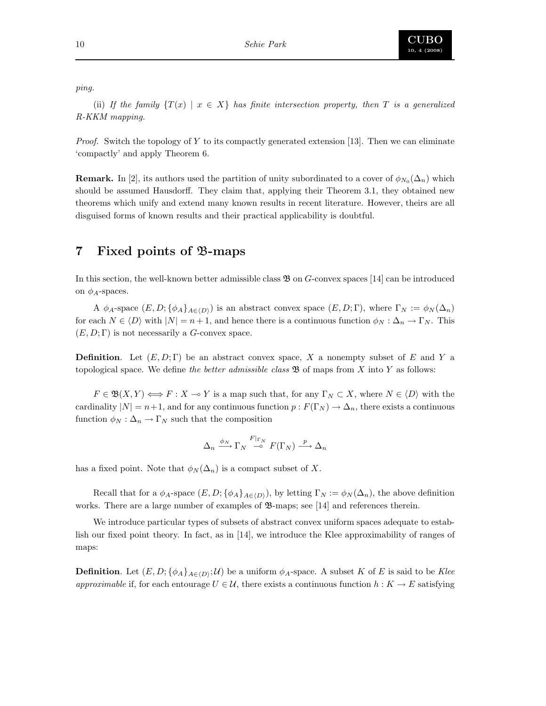

ping.

(ii) If the family  $\{T(x) \mid x \in X\}$  has finite intersection property, then T is a generalized R-KKM mapping.

*Proof.* Switch the topology of Y to its compactly generated extension [13]. Then we can eliminate 'compactly' and apply Theorem 6.

**Remark.** In [2], its authors used the partition of unity subordinated to a cover of  $\phi_{N_0}(\Delta_n)$  which should be assumed Hausdorff. They claim that, applying their Theorem 3.1, they obtained new theorems which unify and extend many known results in recent literature. However, theirs are all disguised forms of known results and their practical applicability is doubtful.

# 7 Fixed points of B-maps

In this section, the well-known better admissible class  $\mathfrak{B}$  on G-convex spaces [14] can be introduced on  $\phi_A$ -spaces.

A  $\phi_A$ -space  $(E, D; {\phi_A}_{A\in(D)})$  is an abstract convex space  $(E, D; \Gamma)$ , where  $\Gamma_N := \phi_N(\Delta_n)$ for each  $N \in \langle D \rangle$  with  $|N| = n + 1$ , and hence there is a continuous function  $\phi_N : \Delta_n \to \Gamma_N$ . This  $(E, D; \Gamma)$  is not necessarily a G-convex space.

**Definition.** Let  $(E, D; \Gamma)$  be an abstract convex space, X a nonempty subset of E and Y a topological space. We define the better admissible class  $\mathfrak{B}$  of maps from X into Y as follows:

 $F \in \mathfrak{B}(X,Y) \Longleftrightarrow F : X \multimap Y$  is a map such that, for any  $\Gamma_N \subset X$ , where  $N \in \langle D \rangle$  with the cardinality  $|N| = n+1$ , and for any continuous function  $p : F(\Gamma_N) \to \Delta_n$ , there exists a continuous function  $\phi_N : \Delta_n \to \Gamma_N$  such that the composition

$$
\Delta_n \xrightarrow{\phi_N} \Gamma_N \xrightarrow{F|_{\Gamma_N}} F(\Gamma_N) \xrightarrow{p} \Delta_n
$$

has a fixed point. Note that  $\phi_N(\Delta_n)$  is a compact subset of X.

Recall that for a  $\phi_A$ -space  $(E, D; {\phi_A}_{A\in\langle D \rangle})$ , by letting  $\Gamma_N := \phi_N(\Delta_n)$ , the above definition works. There are a large number of examples of  $\mathfrak{B}$ -maps; see [14] and references therein.

We introduce particular types of subsets of abstract convex uniform spaces adequate to establish our fixed point theory. In fact, as in [14], we introduce the Klee approximability of ranges of maps:

**Definition**. Let  $(E, D; \{\phi_A\}_{A \in \langle D \rangle}; \mathcal{U})$  be a uniform  $\phi_A$ -space. A subset K of E is said to be Klee approximable if, for each entourage  $U \in \mathcal{U}$ , there exists a continuous function  $h: K \to E$  satisfying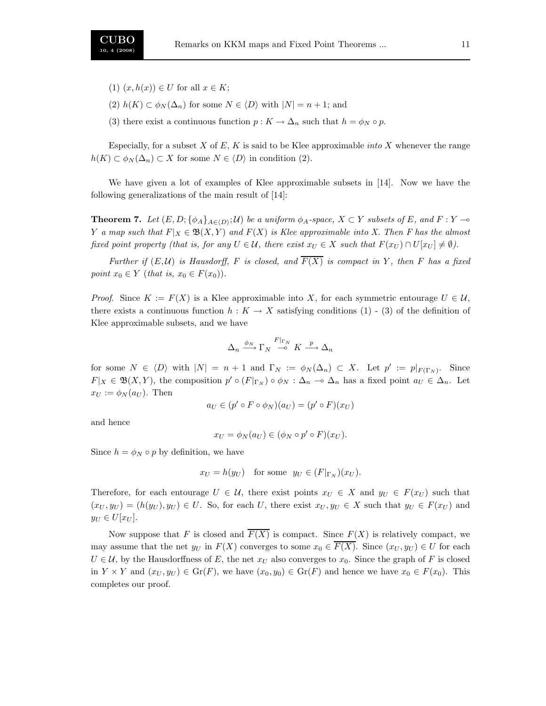- (1)  $(x, h(x)) \in U$  for all  $x \in K$ ;
- (2)  $h(K) \subset \phi_N(\Delta_n)$  for some  $N \in \langle D \rangle$  with  $|N| = n + 1$ ; and
- (3) there exist a continuous function  $p: K \to \Delta_n$  such that  $h = \phi_N \circ p$ .

Especially, for a subset  $X$  of  $E$ ,  $K$  is said to be Klee approximable *into*  $X$  whenever the range  $h(K) \subset \phi_N(\Delta_n) \subset X$  for some  $N \in \langle D \rangle$  in condition (2).

We have given a lot of examples of Klee approximable subsets in [14]. Now we have the following generalizations of the main result of [14]:

**Theorem 7.** Let  $(E, D; {\phi_A}_{A \in (D)}; \mathcal{U})$  be a uniform  $\phi_A$ -space,  $X \subset Y$  subsets of E, and  $F : Y \to \infty$ Y a map such that  $F|_X \in \mathfrak{B}(X, Y)$  and  $F(X)$  is Klee approximable into X. Then F has the almost fixed point property (that is, for any  $U \in \mathcal{U}$ , there exist  $x_U \in X$  such that  $F(x_U) \cap U[x_U] \neq \emptyset$ ).

Further if  $(E, \mathcal{U})$  is Hausdorff, F is closed, and  $\overline{F(X)}$  is compact in Y, then F has a fixed point  $x_0 \in Y$  (that is,  $x_0 \in F(x_0)$ ).

*Proof.* Since  $K := F(X)$  is a Klee approximable into X, for each symmetric entourage  $U \in \mathcal{U}$ , there exists a continuous function  $h: K \to X$  satisfying conditions (1) - (3) of the definition of Klee approximable subsets, and we have

$$
\Delta_n \xrightarrow{\phi_N} \Gamma_N \xrightarrow{F|_{\Gamma_N}} K \xrightarrow{p} \Delta_n
$$

for some  $N \in \langle D \rangle$  with  $|N| = n + 1$  and  $\Gamma_N := \phi_N(\Delta_n) \subset X$ . Let  $p' := p|_{F(\Gamma_N)}$ . Since  $F|_X \in \mathfrak{B}(X,Y)$ , the composition  $p' \circ (F|_{\Gamma_N}) \circ \phi_N : \Delta_n \to \Delta_n$  has a fixed point  $a_U \in \Delta_n$ . Let  $x_U := \phi_N(a_U)$ . Then

$$
a_U \in (p' \circ F \circ \phi_N)(a_U) = (p' \circ F)(x_U)
$$

and hence

$$
x_U = \phi_N(a_U) \in (\phi_N \circ p' \circ F)(x_U).
$$

Since  $h = \phi_N \circ p$  by definition, we have

$$
x_U = h(y_U)
$$
 for some  $y_U \in (F|_{\Gamma_N})(x_U)$ .

Therefore, for each entourage  $U \in \mathcal{U}$ , there exist points  $x_U \in X$  and  $y_U \in F(xy)$  such that  $(x_U, y_U) = (h(y_U), y_U) \in U$ . So, for each U, there exist  $x_U, y_U \in X$  such that  $y_U \in F(x_U)$  and  $y_U \in U[x_U].$ 

Now suppose that F is closed and  $\overline{F(X)}$  is compact. Since  $F(X)$  is relatively compact, we may assume that the net  $y_U$  in  $F(X)$  converges to some  $x_0 \in \overline{F(X)}$ . Since  $(x_U, y_U) \in U$  for each  $U \in \mathcal{U}$ , by the Hausdorffness of E, the net  $x_U$  also converges to  $x_0$ . Since the graph of F is closed in  $Y \times Y$  and  $(x_U, y_U) \in \text{Gr}(F)$ , we have  $(x_0, y_0) \in \text{Gr}(F)$  and hence we have  $x_0 \in F(x_0)$ . This completes our proof.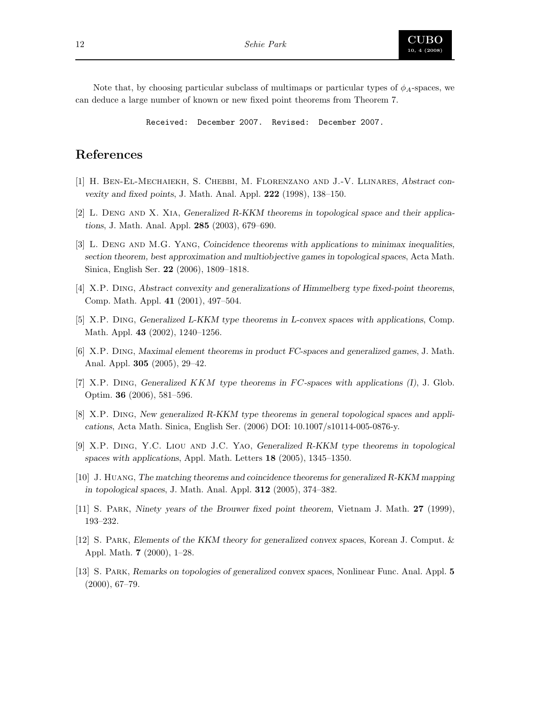Note that, by choosing particular subclass of multimaps or particular types of  $\phi_A$ -spaces, we can deduce a large number of known or new fixed point theorems from Theorem 7.

Received: December 2007. Revised: December 2007.

## References

- [1] H. Ben-El-Mechaiekh, S. Chebbi, M. Florenzano and J.-V. Llinares, Abstract convexity and fixed points, J. Math. Anal. Appl. 222 (1998), 138–150.
- [2] L. Deng and X. Xia, Generalized R-KKM theorems in topological space and their applications, J. Math. Anal. Appl. 285 (2003), 679–690.
- [3] L. Deng and M.G. Yang, Coincidence theorems with applications to minimax inequalities, section theorem, best approximation and multiobjective games in topological spaces, Acta Math. Sinica, English Ser. 22 (2006), 1809–1818.
- [4] X.P. Ding, Abstract convexity and generalizations of Himmelberg type fixed-point theorems, Comp. Math. Appl. 41 (2001), 497–504.
- [5] X.P. Ding, Generalized L-KKM type theorems in L-convex spaces with applications, Comp. Math. Appl. 43 (2002), 1240–1256.
- [6] X.P. Ding, Maximal element theorems in product FC-spaces and generalized games, J. Math. Anal. Appl. 305 (2005), 29–42.
- [7] X.P. DING, Generalized  $KKM$  type theorems in FC-spaces with applications (I), J. Glob. Optim. 36 (2006), 581–596.
- [8] X.P. Ding, New generalized R-KKM type theorems in general topological spaces and applications, Acta Math. Sinica, English Ser. (2006) DOI: 10.1007/s10114-005-0876-y.
- [9] X.P. Ding, Y.C. Liou and J.C. Yao, Generalized R-KKM type theorems in topological spaces with applications, Appl. Math. Letters 18 (2005), 1345–1350.
- [10] J. Huang, The matching theorems and coincidence theorems for generalized R-KKM mapping in topological spaces, J. Math. Anal. Appl. 312 (2005), 374–382.
- [11] S. Park, Ninety years of the Brouwer fixed point theorem, Vietnam J. Math. 27 (1999), 193–232.
- [12] S. Park, Elements of the KKM theory for generalized convex spaces, Korean J. Comput. & Appl. Math. 7 (2000), 1–28.
- [13] S. Park, Remarks on topologies of generalized convex spaces, Nonlinear Func. Anal. Appl. 5 (2000), 67–79.